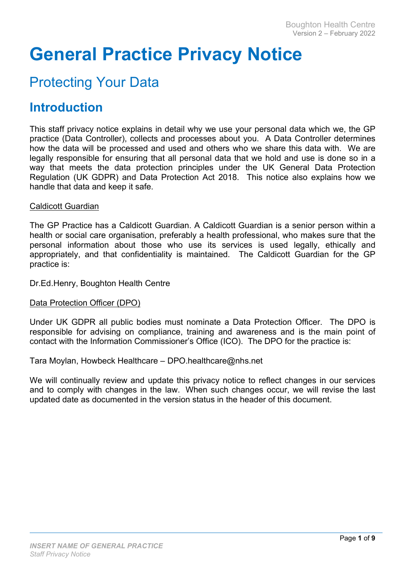# General Practice Privacy Notice

## Protecting Your Data

### Introduction

This staff privacy notice explains in detail why we use your personal data which we, the GP practice (Data Controller), collects and processes about you. A Data Controller determines how the data will be processed and used and others who we share this data with. We are legally responsible for ensuring that all personal data that we hold and use is done so in a way that meets the data protection principles under the UK General Data Protection Regulation (UK GDPR) and Data Protection Act 2018. This notice also explains how we handle that data and keep it safe.

#### Caldicott Guardian

The GP Practice has a Caldicott Guardian. A Caldicott Guardian is a senior person within a health or social care organisation, preferably a health professional, who makes sure that the personal information about those who use its services is used legally, ethically and appropriately, and that confidentiality is maintained. The Caldicott Guardian for the GP practice is:

Dr.Ed.Henry, Boughton Health Centre

#### Data Protection Officer (DPO)

Under UK GDPR all public bodies must nominate a Data Protection Officer. The DPO is responsible for advising on compliance, training and awareness and is the main point of contact with the Information Commissioner's Office (ICO). The DPO for the practice is:

Tara Moylan, Howbeck Healthcare – DPO.healthcare@nhs.net

We will continually review and update this privacy notice to reflect changes in our services and to comply with changes in the law. When such changes occur, we will revise the last updated date as documented in the version status in the header of this document.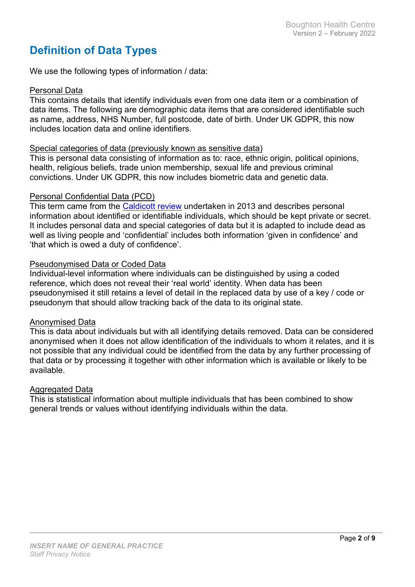### Definition of Data Types

We use the following types of information / data:

#### Personal Data

This contains details that identify individuals even from one data item or a combination of data items. The following are demographic data items that are considered identifiable such as name, address, NHS Number, full postcode, date of birth. Under UK GDPR, this now includes location data and online identifiers.

#### Special categories of data (previously known as sensitive data)

This is personal data consisting of information as to: race, ethnic origin, political opinions, health, religious beliefs, trade union membership, sexual life and previous criminal convictions. Under UK GDPR, this now includes biometric data and genetic data.

#### Personal Confidential Data (PCD)

This term came from the Caldicott review undertaken in 2013 and describes personal information about identified or identifiable individuals, which should be kept private or secret. It includes personal data and special categories of data but it is adapted to include dead as well as living people and 'confidential' includes both information 'given in confidence' and 'that which is owed a duty of confidence'.

#### Pseudonymised Data or Coded Data

Individual-level information where individuals can be distinguished by using a coded reference, which does not reveal their 'real world' identity. When data has been pseudonymised it still retains a level of detail in the replaced data by use of a key / code or pseudonym that should allow tracking back of the data to its original state.

#### Anonymised Data

This is data about individuals but with all identifying details removed. Data can be considered anonymised when it does not allow identification of the individuals to whom it relates, and it is not possible that any individual could be identified from the data by any further processing of that data or by processing it together with other information which is available or likely to be available.

#### Aggregated Data

This is statistical information about multiple individuals that has been combined to show general trends or values without identifying individuals within the data.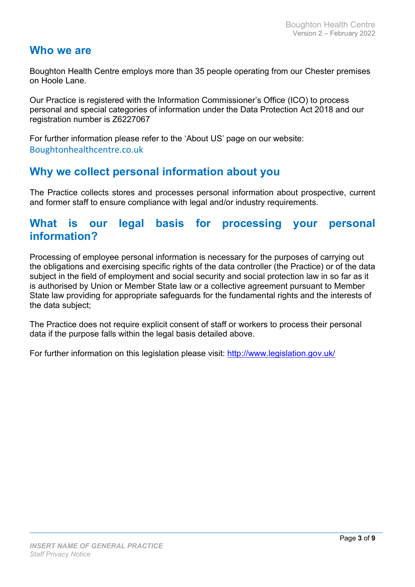#### Who we are

Boughton Health Centre employs more than 35 people operating from our Chester premises on Hoole Lane.

Our Practice is registered with the Information Commissioner's Office (ICO) to process personal and special categories of information under the Data Protection Act 2018 and our registration number is Z6227067

For further information please refer to the 'About US' page on our website: Boughtonhealthcentre.co.uk

### Why we collect personal information about you

The Practice collects stores and processes personal information about prospective, current and former staff to ensure compliance with legal and/or industry requirements.

#### What is our legal basis for processing your personal information?

Processing of employee personal information is necessary for the purposes of carrying out the obligations and exercising specific rights of the data controller (the Practice) or of the data subject in the field of employment and social security and social protection law in so far as it is authorised by Union or Member State law or a collective agreement pursuant to Member State law providing for appropriate safeguards for the fundamental rights and the interests of the data subject;

The Practice does not require explicit consent of staff or workers to process their personal data if the purpose falls within the legal basis detailed above.

For further information on this legislation please visit: http://www.legislation.gov.uk/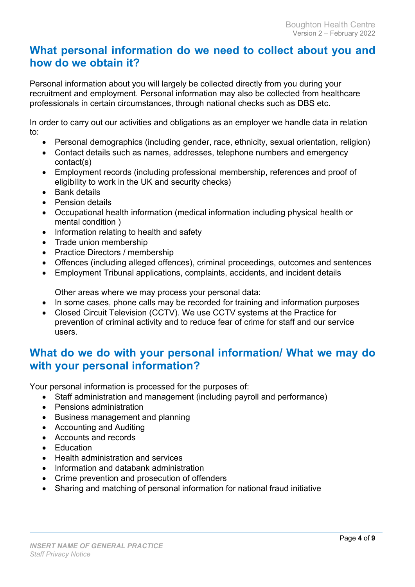#### What personal information do we need to collect about you and how do we obtain it?

Personal information about you will largely be collected directly from you during your recruitment and employment. Personal information may also be collected from healthcare professionals in certain circumstances, through national checks such as DBS etc.

In order to carry out our activities and obligations as an employer we handle data in relation to:

- Personal demographics (including gender, race, ethnicity, sexual orientation, religion)
- Contact details such as names, addresses, telephone numbers and emergency contact(s)
- Employment records (including professional membership, references and proof of eligibility to work in the UK and security checks)
- Bank details
- **•** Pension details
- Occupational health information (medical information including physical health or mental condition )
- Information relating to health and safety
- Trade union membership
- Practice Directors / membership
- Offences (including alleged offences), criminal proceedings, outcomes and sentences
- Employment Tribunal applications, complaints, accidents, and incident details

Other areas where we may process your personal data:

- In some cases, phone calls may be recorded for training and information purposes
- Closed Circuit Television (CCTV). We use CCTV systems at the Practice for prevention of criminal activity and to reduce fear of crime for staff and our service users.

### What do we do with your personal information/ What we may do with your personal information?

Your personal information is processed for the purposes of:

- Staff administration and management (including payroll and performance)
- Pensions administration
- Business management and planning
- Accounting and Auditing
- Accounts and records
- **Education**
- Health administration and services
- Information and databank administration
- Crime prevention and prosecution of offenders
- Sharing and matching of personal information for national fraud initiative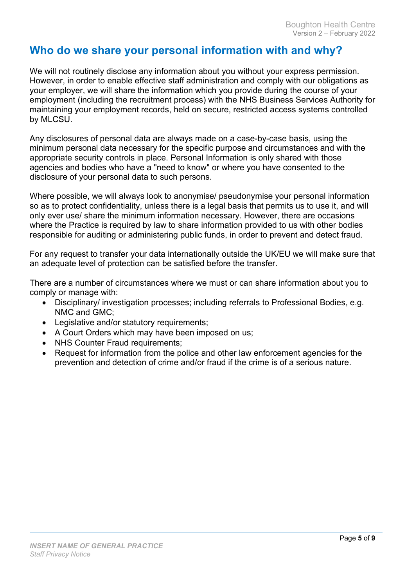### Who do we share your personal information with and why?

We will not routinely disclose any information about you without your express permission. However, in order to enable effective staff administration and comply with our obligations as your employer, we will share the information which you provide during the course of your employment (including the recruitment process) with the NHS Business Services Authority for maintaining your employment records, held on secure, restricted access systems controlled by MLCSU.

Any disclosures of personal data are always made on a case-by-case basis, using the minimum personal data necessary for the specific purpose and circumstances and with the appropriate security controls in place. Personal Information is only shared with those agencies and bodies who have a "need to know" or where you have consented to the disclosure of your personal data to such persons.

Where possible, we will always look to anonymise/ pseudonymise your personal information so as to protect confidentiality, unless there is a legal basis that permits us to use it, and will only ever use/ share the minimum information necessary. However, there are occasions where the Practice is required by law to share information provided to us with other bodies responsible for auditing or administering public funds, in order to prevent and detect fraud.

For any request to transfer your data internationally outside the UK/EU we will make sure that an adequate level of protection can be satisfied before the transfer.

There are a number of circumstances where we must or can share information about you to comply or manage with:

- Disciplinary/ investigation processes; including referrals to Professional Bodies, e.g. NMC and GMC;
- Legislative and/or statutory requirements;
- A Court Orders which may have been imposed on us;
- NHS Counter Fraud requirements;
- Request for information from the police and other law enforcement agencies for the prevention and detection of crime and/or fraud if the crime is of a serious nature.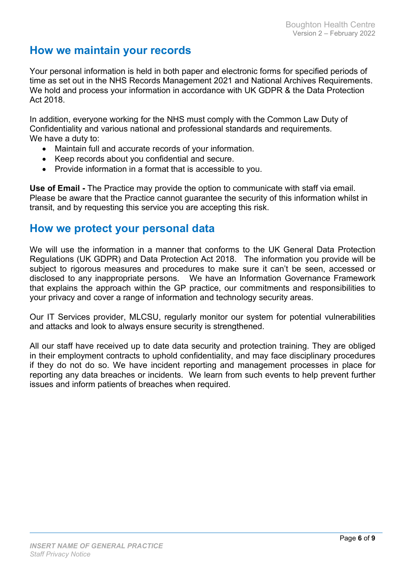### How we maintain your records

Your personal information is held in both paper and electronic forms for specified periods of time as set out in the NHS Records Management 2021 and National Archives Requirements. We hold and process your information in accordance with UK GDPR & the Data Protection Act 2018.

In addition, everyone working for the NHS must comply with the Common Law Duty of Confidentiality and various national and professional standards and requirements. We have a duty to:

- Maintain full and accurate records of your information.
- Keep records about you confidential and secure.
- Provide information in a format that is accessible to you.

Use of Email - The Practice may provide the option to communicate with staff via email. Please be aware that the Practice cannot guarantee the security of this information whilst in transit, and by requesting this service you are accepting this risk.

#### How we protect your personal data

We will use the information in a manner that conforms to the UK General Data Protection Regulations (UK GDPR) and Data Protection Act 2018. The information you provide will be subject to rigorous measures and procedures to make sure it can't be seen, accessed or disclosed to any inappropriate persons. We have an Information Governance Framework that explains the approach within the GP practice, our commitments and responsibilities to your privacy and cover a range of information and technology security areas.

Our IT Services provider, MLCSU, regularly monitor our system for potential vulnerabilities and attacks and look to always ensure security is strengthened.

All our staff have received up to date data security and protection training. They are obliged in their employment contracts to uphold confidentiality, and may face disciplinary procedures if they do not do so. We have incident reporting and management processes in place for reporting any data breaches or incidents. We learn from such events to help prevent further issues and inform patients of breaches when required.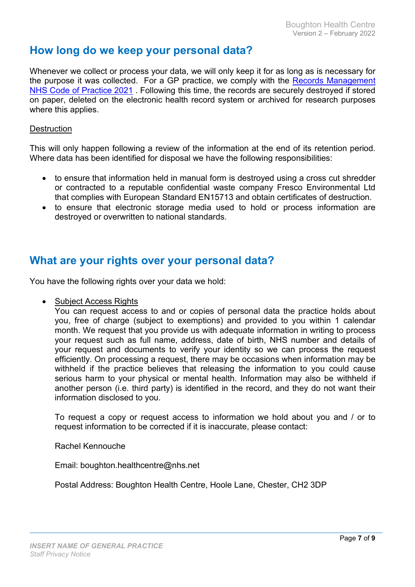### How long do we keep your personal data?

Whenever we collect or process your data, we will only keep it for as long as is necessary for the purpose it was collected. For a GP practice, we comply with the Records Management NHS Code of Practice 2021 . Following this time, the records are securely destroyed if stored on paper, deleted on the electronic health record system or archived for research purposes where this applies.

#### **Destruction**

This will only happen following a review of the information at the end of its retention period. Where data has been identified for disposal we have the following responsibilities:

- to ensure that information held in manual form is destroyed using a cross cut shredder or contracted to a reputable confidential waste company Fresco Environmental Ltd that complies with European Standard EN15713 and obtain certificates of destruction.
- to ensure that electronic storage media used to hold or process information are destroyed or overwritten to national standards.

#### What are your rights over your personal data?

You have the following rights over your data we hold:

Subject Access Rights

You can request access to and or copies of personal data the practice holds about you, free of charge (subject to exemptions) and provided to you within 1 calendar month. We request that you provide us with adequate information in writing to process your request such as full name, address, date of birth, NHS number and details of your request and documents to verify your identity so we can process the request efficiently. On processing a request, there may be occasions when information may be withheld if the practice believes that releasing the information to you could cause serious harm to your physical or mental health. Information may also be withheld if another person (i.e. third party) is identified in the record, and they do not want their information disclosed to you.

To request a copy or request access to information we hold about you and / or to request information to be corrected if it is inaccurate, please contact:

Rachel Kennouche

Email: boughton.healthcentre@nhs.net

Postal Address: Boughton Health Centre, Hoole Lane, Chester, CH2 3DP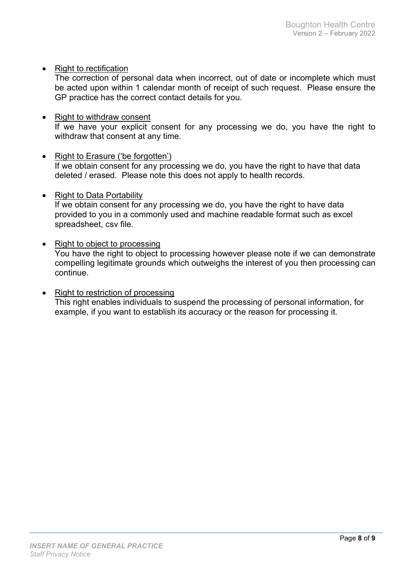• Right to rectification

The correction of personal data when incorrect, out of date or incomplete which must be acted upon within 1 calendar month of receipt of such request. Please ensure the GP practice has the correct contact details for you.

- Right to withdraw consent If we have your explicit consent for any processing we do, you have the right to withdraw that consent at any time.
- Right to Erasure ('be forgotten') If we obtain consent for any processing we do, you have the right to have that data deleted / erased. Please note this does not apply to health records.
- Right to Data Portability If we obtain consent for any processing we do, you have the right to have data provided to you in a commonly used and machine readable format such as excel spreadsheet, csv file.
- Right to object to processing You have the right to object to processing however please note if we can demonstrate compelling legitimate grounds which outweighs the interest of you then processing can continue.
- Right to restriction of processing This right enables individuals to suspend the processing of personal information, for example, if you want to establish its accuracy or the reason for processing it.